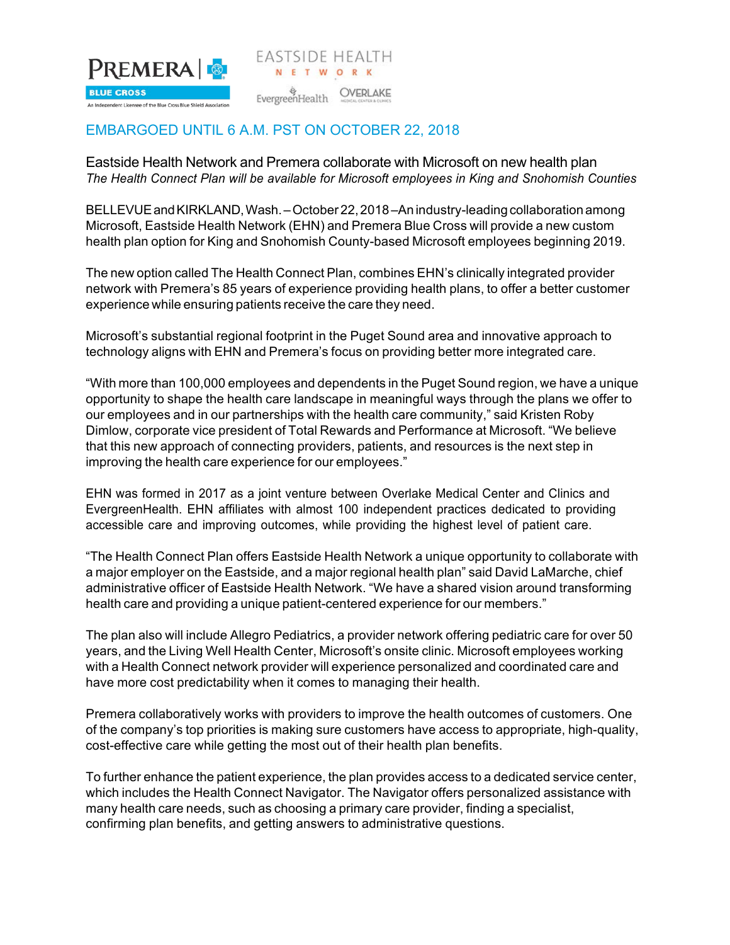

## EMBARGOED UNTIL 6 A.M. PST ON OCTOBER 22, 2018

Eastside Health Network and Premera collaborate with Microsoft on new health plan *The Health Connect Plan will be available for Microsoft employees in King and Snohomish Counties*

N E T W O R K

BELLEVUE and KIRKLAND, Wash. – October 22, 2018 – An industry-leading collaboration among Microsoft, Eastside Health Network (EHN) and Premera Blue Cross will provide a new custom health plan option for King and Snohomish County-based Microsoft employees beginning 2019.

The new option called The Health Connect Plan, combines EHN's clinically integrated provider network with Premera's 85 years of experience providing health plans, to offer a better customer experience while ensuring patients receive the care they need.

Microsoft's substantial regional footprint in the Puget Sound area and innovative approach to technology aligns with EHN and Premera's focus on providing better more integrated care.

"With more than 100,000 employees and dependents in the Puget Sound region, we have a unique opportunity to shape the health care landscape in meaningful ways through the plans we offer to our employees and in our partnerships with the health care community," said Kristen Roby Dimlow, corporate vice president of Total Rewards and Performance at Microsoft. "We believe that this new approach of connecting providers, patients, and resources is the next step in improving the health care experience for our employees."

EHN was formed in 2017 as a joint venture between Overlake Medical Center and Clinics and EvergreenHealth. EHN affiliates with almost 100 independent practices dedicated to providing accessible care and improving outcomes, while providing the highest level of patient care.

"The Health Connect Plan offers Eastside Health Network a unique opportunity to collaborate with a major employer on the Eastside, and a major regional health plan" said David LaMarche, chief administrative officer of Eastside Health Network. "We have a shared vision around transforming health care and providing a unique patient-centered experience for our members."

The plan also will include Allegro Pediatrics, a provider network offering pediatric care for over 50 years, and the Living Well Health Center, Microsoft's onsite clinic. Microsoft employees working with a Health Connect network provider will experience personalized and coordinated care and have more cost predictability when it comes to managing their health.

Premera collaboratively works with providers to improve the health outcomes of customers. One of the company's top priorities is making sure customers have access to appropriate, high-quality, cost-effective care while getting the most out of their health plan benefits.

To further enhance the patient experience, the plan provides access to a dedicated service center, which includes the Health Connect Navigator. The Navigator offers personalized assistance with many health care needs, such as choosing a primary care provider, finding a specialist, confirming plan benefits, and getting answers to administrative questions.